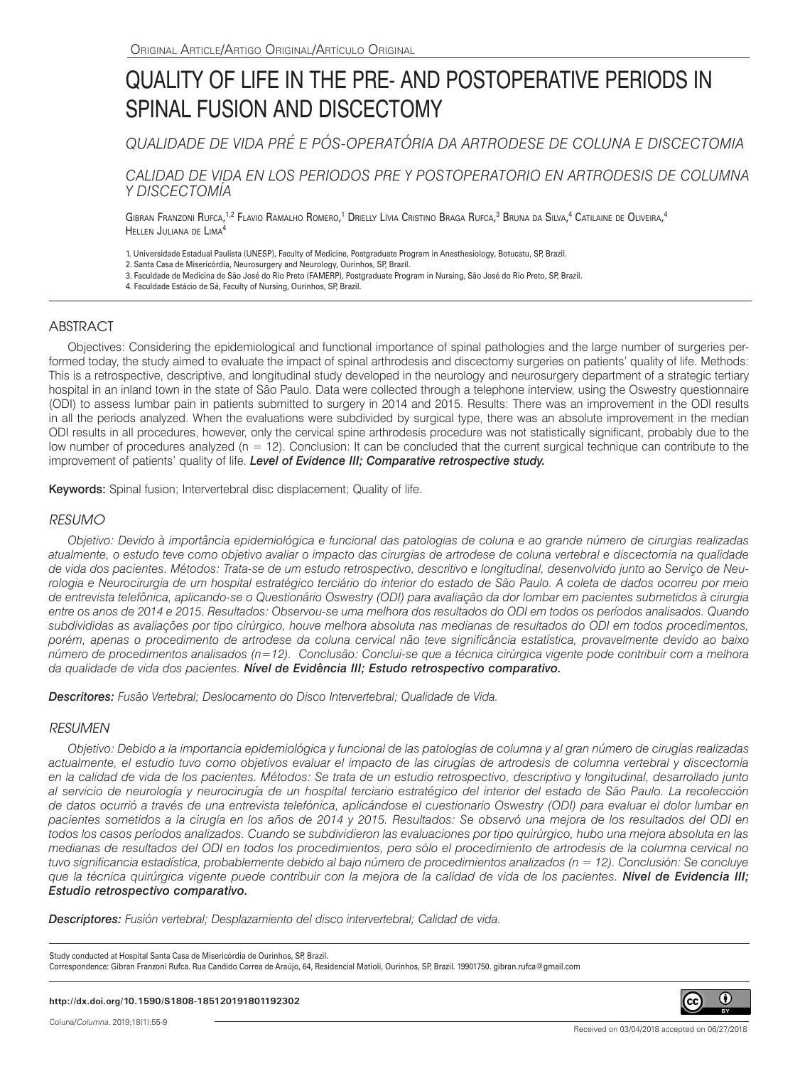# QUALITY OF LIFE IN THE PRE- AND POSTOPERATIVE PERIODS IN SPINAL FUSION AND DISCECTOMY

*QUALIDADE DE VIDA PRÉ E PÓS-OPERATÓRIA DA ARTRODESE DE COLUNA E DISCECTOMIA*

*CALIDAD DE VIDA EN LOS PERIODOS PRE Y POSTOPERATORIO EN ARTRODESIS DE COLUMNA Y DISCECTOMÍA*

Gibran Franzoni Rufca,<sup>1,2</sup> Flavio Ramalho Romero,<sup>1</sup> Drielly Lívia Cristino Braga Rufca,<sup>3</sup> Bruna da Silva,<sup>4</sup> Catilaine de Oliveira,<sup>4</sup> Hellen Juliana de Lima4

1. Universidade Estadual Paulista (UNESP), Faculty of Medicine, Postgraduate Program in Anesthesiology, Botucatu, SP, Brazil.

2. Santa Casa de Misericórdia, Neurosurgery and Neurology, Ourinhos, SP, Brazil.

- 3. Faculdade de Medicina de São José do Rio Preto (FAMERP), Postgraduate Program in Nursing, São José do Rio Preto, SP, Brazil.
- 4. Faculdade Estácio de Sá, Faculty of Nursing, Ourinhos, SP, Brazil.

# ABSTRACT

Objectives: Considering the epidemiological and functional importance of spinal pathologies and the large number of surgeries performed today, the study aimed to evaluate the impact of spinal arthrodesis and discectomy surgeries on patients' quality of life. Methods: This is a retrospective, descriptive, and longitudinal study developed in the neurology and neurosurgery department of a strategic tertiary hospital in an inland town in the state of São Paulo. Data were collected through a telephone interview, using the Oswestry questionnaire (ODI) to assess lumbar pain in patients submitted to surgery in 2014 and 2015. Results: There was an improvement in the ODI results in all the periods analyzed. When the evaluations were subdivided by surgical type, there was an absolute improvement in the median ODI results in all procedures, however, only the cervical spine arthrodesis procedure was not statistically significant, probably due to the low number of procedures analyzed (n = 12). Conclusion: It can be concluded that the current surgical technique can contribute to the improvement of patients' quality of life. *Level of Evidence III; Comparative retrospective study.*

Keywords: Spinal fusion; Intervertebral disc displacement; Quality of life.

## *RESUMO*

*Objetivo: Devido à importância epidemiológica e funcional das patologias de coluna e ao grande número de cirurgias realizadas atualmente, o estudo teve como objetivo avaliar o impacto das cirurgias de artrodese de coluna vertebral e discectomia na qualidade de vida dos pacientes. Métodos: Trata-se de um estudo retrospectivo, descritivo e longitudinal, desenvolvido junto ao Serviço de Neurologia e Neurocirurgia de um hospital estratégico terciário do interior do estado de São Paulo. A coleta de dados ocorreu por meio de entrevista telefônica, aplicando-se o Questionário Oswestry (ODI) para avaliação da dor lombar em pacientes submetidos à cirurgia entre os anos de 2014 e 2015. Resultados: Observou-se uma melhora dos resultados do ODI em todos os períodos analisados. Quando subdivididas as avaliações por tipo cirúrgico, houve melhora absoluta nas medianas de resultados do ODI em todos procedimentos, porém, apenas o procedimento de artrodese da coluna cervical não teve significância estatística, provavelmente devido ao baixo número de procedimentos analisados (n=12). Conclusão: Conclui-se que a técnica cirúrgica vigente pode contribuir com a melhora da qualidade de vida dos pacientes. Nível de Evidência III; Estudo retrospectivo comparativo.*

*Descritores: Fusão Vertebral; Deslocamento do Disco Intervertebral; Qualidade de Vida.*

#### *RESUMEN*

*Objetivo: Debido a la importancia epidemiológica y funcional de las patologías de columna y al gran número de cirugías realizadas actualmente, el estudio tuvo como objetivos evaluar el impacto de las cirugías de artrodesis de columna vertebral y discectomía en la calidad de vida de los pacientes. Métodos: Se trata de un estudio retrospectivo, descriptivo y longitudinal, desarrollado junto al servicio de neurología y neurocirugía de un hospital terciario estratégico del interior del estado de São Paulo. La recolección de datos ocurrió a través de una entrevista telefónica, aplicándose el cuestionario Oswestry (ODI) para evaluar el dolor lumbar en pacientes sometidos a la cirugía en los años de 2014 y 2015. Resultados: Se observó una mejora de los resultados del ODI en todos los casos períodos analizados. Cuando se subdividieron las evaluaciones por tipo quirúrgico, hubo una mejora absoluta en las medianas de resultados del ODI en todos los procedimientos, pero sólo el procedimiento de artrodesis de la columna cervical no tuvo significancia estadística, probablemente debido al bajo número de procedimientos analizados (n = 12). Conclusión: Se concluye que la técnica quirúrgica vigente puede contribuir con la mejora de la calidad de vida de los pacientes. Nivel de Evidencia III; Estudio retrospectivo comparativo.*

*Descriptores: Fusión vertebral; Desplazamiento del disco intervertebral; Calidad de vida.*

Study conducted at Hospital Santa Casa de Misericórdia de Ourinhos, SP, Brazil. Correspondence: Gibran Franzoni Rufca. Rua Candido Correa de Araújo, 64, Residencial Matioli, Ourinhos, SP, Brazil. 19901750. gibran.rufca@gmail.com



cc)

0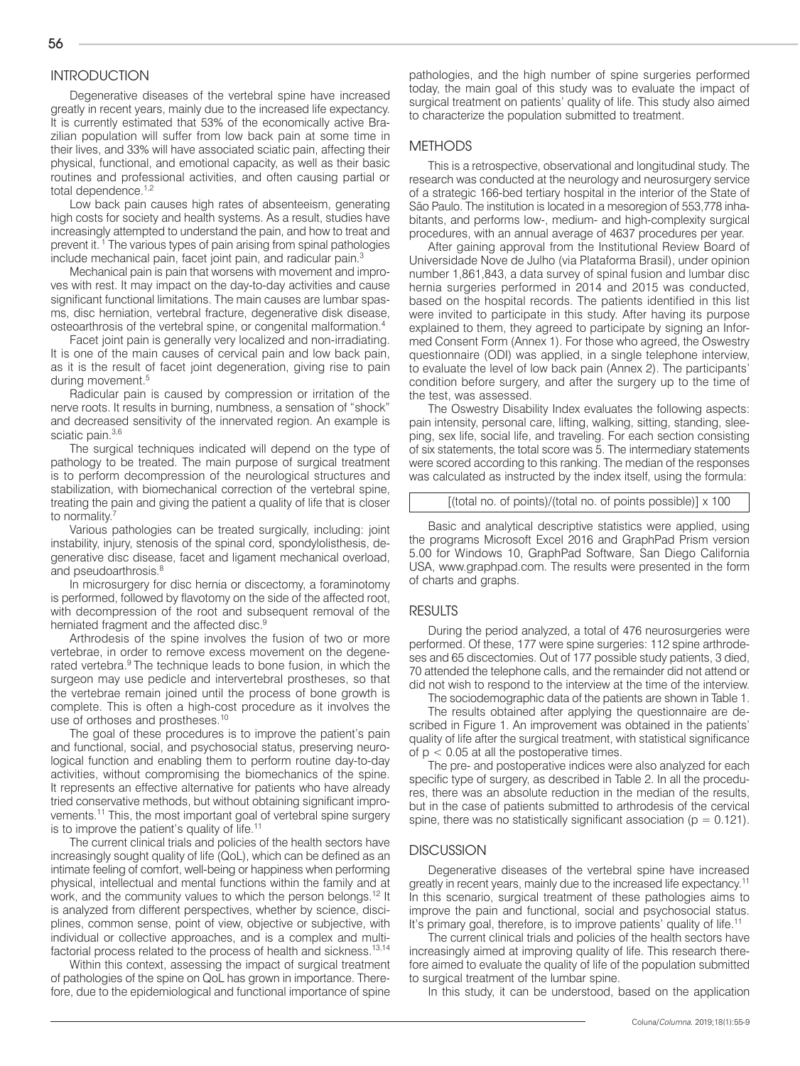# **INTRODUCTION**

Degenerative diseases of the vertebral spine have increased greatly in recent years, mainly due to the increased life expectancy. It is currently estimated that 53% of the economically active Brazilian population will suffer from low back pain at some time in their lives, and 33% will have associated sciatic pain, affecting their physical, functional, and emotional capacity, as well as their basic routines and professional activities, and often causing partial or total dependence.<sup>1,2</sup>

Low back pain causes high rates of absenteeism, generating high costs for society and health systems. As a result, studies have increasingly attempted to understand the pain, and how to treat and prevent it. 1 The various types of pain arising from spinal pathologies include mechanical pain, facet joint pain, and radicular pain.<sup>3</sup>

Mechanical pain is pain that worsens with movement and improves with rest. It may impact on the day-to-day activities and cause significant functional limitations. The main causes are lumbar spasms, disc herniation, vertebral fracture, degenerative disk disease, osteoarthrosis of the vertebral spine, or congenital malformation.4

Facet joint pain is generally very localized and non-irradiating. It is one of the main causes of cervical pain and low back pain, as it is the result of facet joint degeneration, giving rise to pain during movement.<sup>5</sup>

Radicular pain is caused by compression or irritation of the nerve roots. It results in burning, numbness, a sensation of "shock" and decreased sensitivity of the innervated region. An example is sciatic pain.<sup>3,6</sup>

The surgical techniques indicated will depend on the type of pathology to be treated. The main purpose of surgical treatment is to perform decompression of the neurological structures and stabilization, with biomechanical correction of the vertebral spine, treating the pain and giving the patient a quality of life that is closer to normality.<sup>7</sup>

Various pathologies can be treated surgically, including: joint instability, injury, stenosis of the spinal cord, spondylolisthesis, degenerative disc disease, facet and ligament mechanical overload, and pseudoarthrosis.<sup>8</sup>

In microsurgery for disc hernia or discectomy, a foraminotomy is performed, followed by flavotomy on the side of the affected root, with decompression of the root and subsequent removal of the herniated fragment and the affected disc.<sup>9</sup>

Arthrodesis of the spine involves the fusion of two or more vertebrae, in order to remove excess movement on the degenerated vertebra.<sup>9</sup> The technique leads to bone fusion, in which the surgeon may use pedicle and intervertebral prostheses, so that the vertebrae remain joined until the process of bone growth is complete. This is often a high-cost procedure as it involves the use of orthoses and prostheses.<sup>10</sup>

The goal of these procedures is to improve the patient's pain and functional, social, and psychosocial status, preserving neurological function and enabling them to perform routine day-to-day activities, without compromising the biomechanics of the spine. It represents an effective alternative for patients who have already tried conservative methods, but without obtaining significant improvements.11 This, the most important goal of vertebral spine surgery is to improve the patient's quality of life.11

The current clinical trials and policies of the health sectors have increasingly sought quality of life (QoL), which can be defined as an intimate feeling of comfort, well-being or happiness when performing physical, intellectual and mental functions within the family and at work, and the community values to which the person belongs.<sup>12</sup> It is analyzed from different perspectives, whether by science, disciplines, common sense, point of view, objective or subjective, with individual or collective approaches, and is a complex and multifactorial process related to the process of health and sickness.13,14

Within this context, assessing the impact of surgical treatment of pathologies of the spine on QoL has grown in importance. Therefore, due to the epidemiological and functional importance of spine pathologies, and the high number of spine surgeries performed today, the main goal of this study was to evaluate the impact of surgical treatment on patients' quality of life. This study also aimed to characterize the population submitted to treatment.

#### **METHODS**

This is a retrospective, observational and longitudinal study. The research was conducted at the neurology and neurosurgery service of a strategic 166-bed tertiary hospital in the interior of the State of São Paulo. The institution is located in a mesoregion of 553,778 inhabitants, and performs low-, medium- and high-complexity surgical procedures, with an annual average of 4637 procedures per year.

After gaining approval from the Institutional Review Board of Universidade Nove de Julho (via Plataforma Brasil), under opinion number 1,861,843, a data survey of spinal fusion and lumbar disc hernia surgeries performed in 2014 and 2015 was conducted, based on the hospital records. The patients identified in this list were invited to participate in this study. After having its purpose explained to them, they agreed to participate by signing an Informed Consent Form (Annex 1). For those who agreed, the Oswestry questionnaire (ODI) was applied, in a single telephone interview, to evaluate the level of low back pain (Annex 2). The participants' condition before surgery, and after the surgery up to the time of the test, was assessed.

The Oswestry Disability Index evaluates the following aspects: pain intensity, personal care, lifting, walking, sitting, standing, sleeping, sex life, social life, and traveling. For each section consisting of six statements, the total score was 5. The intermediary statements were scored according to this ranking. The median of the responses was calculated as instructed by the index itself, using the formula:

 $[$ (total no. of points)/(total no. of points possible)]  $\times$  100

Basic and analytical descriptive statistics were applied, using the programs Microsoft Excel 2016 and GraphPad Prism version 5.00 for Windows 10, GraphPad Software, San Diego California USA, www.graphpad.com. The results were presented in the form of charts and graphs.

#### RESULTS

During the period analyzed, a total of 476 neurosurgeries were performed. Of these, 177 were spine surgeries: 112 spine arthrodeses and 65 discectomies. Out of 177 possible study patients, 3 died, 70 attended the telephone calls, and the remainder did not attend or did not wish to respond to the interview at the time of the interview.

The sociodemographic data of the patients are shown in Table 1.

The results obtained after applying the questionnaire are described in Figure 1. An improvement was obtained in the patients' quality of life after the surgical treatment, with statistical significance of  $p < 0.05$  at all the postoperative times.

The pre- and postoperative indices were also analyzed for each specific type of surgery, as described in Table 2. In all the procedures, there was an absolute reduction in the median of the results, but in the case of patients submitted to arthrodesis of the cervical spine, there was no statistically significant association ( $p = 0.121$ ).

#### **DISCUSSION**

Degenerative diseases of the vertebral spine have increased greatly in recent years, mainly due to the increased life expectancy.<sup>11</sup> In this scenario, surgical treatment of these pathologies aims to improve the pain and functional, social and psychosocial status. It's primary goal, therefore, is to improve patients' quality of life.<sup>11</sup>

The current clinical trials and policies of the health sectors have increasingly aimed at improving quality of life. This research therefore aimed to evaluate the quality of life of the population submitted to surgical treatment of the lumbar spine.

In this study, it can be understood, based on the application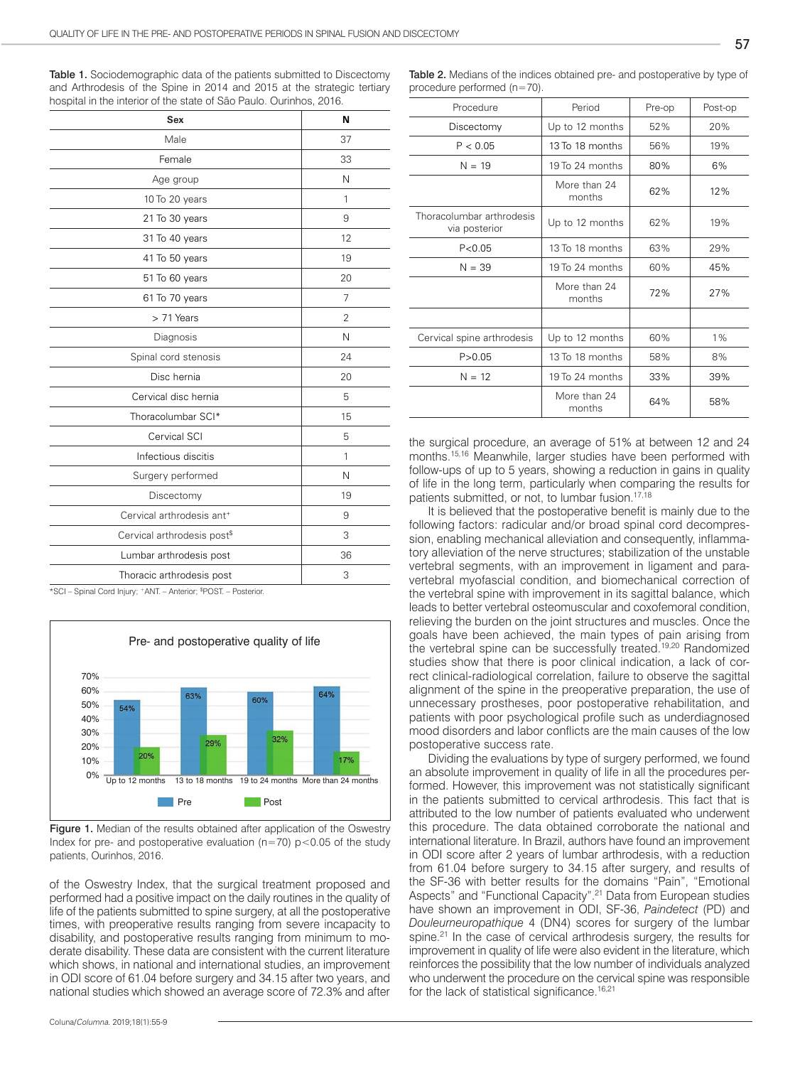Table 1. Sociodemographic data of the patients submitted to Discectomy and Arthrodesis of the Spine in 2014 and 2015 at the strategic tertiary hospital in the interior of the state of São Paulo. Ourinhos, 2016.

| N              |
|----------------|
| 37             |
| 33             |
| N              |
| 1              |
| 9              |
| 12             |
| 19             |
| 20             |
| 7              |
| $\overline{2}$ |
| N              |
| 24             |
| 20             |
| 5              |
| 15             |
| 5              |
| $\mathbf{1}$   |
| N              |
| 19             |
| 9              |
| 3              |
| 36             |
| 3              |
|                |

\*SCI – Spinal Cord Injury; +ANT. – Anterior; \$ POST. – Posterior.



Figure 1. Median of the results obtained after application of the Oswestry Index for pre- and postoperative evaluation ( $n=70$ ) p < 0.05 of the study patients, Ourinhos, 2016.

of the Oswestry Index, that the surgical treatment proposed and performed had a positive impact on the daily routines in the quality of life of the patients submitted to spine surgery, at all the postoperative times, with preoperative results ranging from severe incapacity to disability, and postoperative results ranging from minimum to moderate disability. These data are consistent with the current literature which shows, in national and international studies, an improvement in ODI score of 61.04 before surgery and 34.15 after two years, and national studies which showed an average score of 72.3% and after

| Procedure                                  | Period                 | Pre-op | Post-op |  |  |
|--------------------------------------------|------------------------|--------|---------|--|--|
| Discectomy                                 | Up to 12 months        | 52%    | 20%     |  |  |
| P < 0.05                                   | 13 To 18 months        | 56%    | 19%     |  |  |
| $N = 19$                                   | 19 To 24 months        | 80%    | 6%      |  |  |
|                                            | More than 24<br>months | 62%    | 12%     |  |  |
| Thoracolumbar arthrodesis<br>via posterior | Up to 12 months        | 62%    | 19%     |  |  |
| P < 0.05                                   | 13 To 18 months        | 63%    | 29%     |  |  |
| $N = 39$                                   | 19 To 24 months        | 60%    | 45%     |  |  |
|                                            | More than 24<br>months | 72%    | 27%     |  |  |
|                                            |                        |        |         |  |  |
| Cervical spine arthrodesis                 | Up to 12 months        | 60%    | $1\%$   |  |  |
| P > 0.05                                   | 13 To 18 months        | 58%    | 8%      |  |  |
| $N = 12$                                   | 19 To 24 months        | 33%    | 39%     |  |  |
|                                            | More than 24<br>months | 64%    | 58%     |  |  |

the surgical procedure, an average of 51% at between 12 and 24 months.15,16 Meanwhile, larger studies have been performed with follow-ups of up to 5 years, showing a reduction in gains in quality of life in the long term, particularly when comparing the results for patients submitted, or not, to lumbar fusion.17,18

It is believed that the postoperative benefit is mainly due to the following factors: radicular and/or broad spinal cord decompression, enabling mechanical alleviation and consequently, inflammatory alleviation of the nerve structures; stabilization of the unstable vertebral segments, with an improvement in ligament and paravertebral myofascial condition, and biomechanical correction of the vertebral spine with improvement in its sagittal balance, which leads to better vertebral osteomuscular and coxofemoral condition, relieving the burden on the joint structures and muscles. Once the goals have been achieved, the main types of pain arising from the vertebral spine can be successfully treated.<sup>19,20</sup> Randomized studies show that there is poor clinical indication, a lack of correct clinical-radiological correlation, failure to observe the sagittal alignment of the spine in the preoperative preparation, the use of unnecessary prostheses, poor postoperative rehabilitation, and patients with poor psychological profile such as underdiagnosed mood disorders and labor conflicts are the main causes of the low postoperative success rate.

Dividing the evaluations by type of surgery performed, we found an absolute improvement in quality of life in all the procedures performed. However, this improvement was not statistically significant in the patients submitted to cervical arthrodesis. This fact that is attributed to the low number of patients evaluated who underwent this procedure. The data obtained corroborate the national and international literature. In Brazil, authors have found an improvement in ODI score after 2 years of lumbar arthrodesis, with a reduction from 61.04 before surgery to 34.15 after surgery, and results of the SF-36 with better results for the domains "Pain", "Emotional Aspects" and "Functional Capacity".21 Data from European studies have shown an improvement in ODI, SF-36, *Paindetect* (PD) and *Douleurneuropathique* 4 (DN4) scores for surgery of the lumbar spine.<sup>21</sup> In the case of cervical arthrodesis surgery, the results for improvement in quality of life were also evident in the literature, which reinforces the possibility that the low number of individuals analyzed who underwent the procedure on the cervical spine was responsible for the lack of statistical significance.<sup>16,21</sup>

57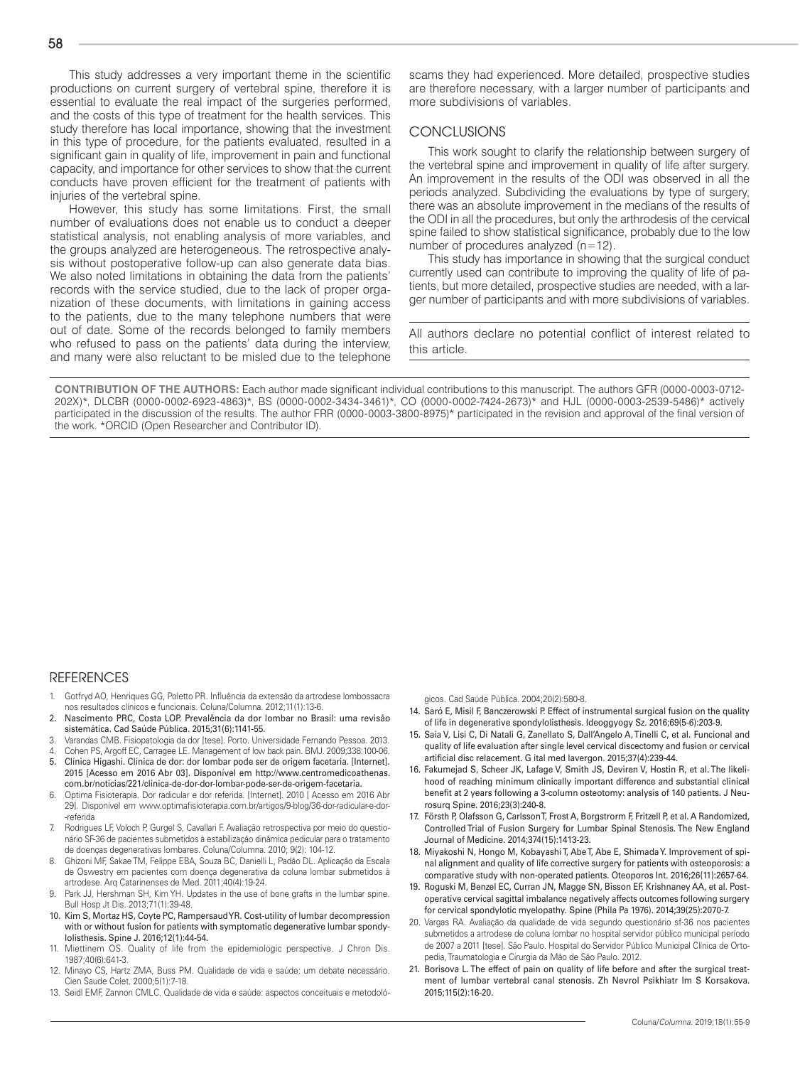This study addresses a very important theme in the scientific productions on current surgery of vertebral spine, therefore it is essential to evaluate the real impact of the surgeries performed. and the costs of this type of treatment for the health services. This study therefore has local importance, showing that the investment in this type of procedure, for the patients evaluated, resulted in a significant gain in quality of life, improvement in pain and functional capacity, and importance for other services to show that the current conducts have proven efficient for the treatment of patients with injuries of the vertebral spine.

However, this study has some limitations. First, the small number of evaluations does not enable us to conduct a deeper statistical analysis, not enabling analysis of more variables, and the groups analyzed are heterogeneous. The retrospective analysis without postoperative follow-up can also generate data bias. We also noted limitations in obtaining the data from the patients' records with the service studied, due to the lack of proper organization of these documents, with limitations in gaining access to the patients, due to the many telephone numbers that were out of date. Some of the records belonged to family members who refused to pass on the patients' data during the interview, and many were also reluctant to be misled due to the telephone

scams they had experienced. More detailed, prospective studies are therefore necessary, with a larger number of participants and more subdivisions of variables.

## CONCLUSIONS

This work sought to clarify the relationship between surgery of the vertebral spine and improvement in quality of life after surgery. An improvement in the results of the ODI was observed in all the periods analyzed. Subdividing the evaluations by type of surgery, there was an absolute improvement in the medians of the results of the ODI in all the procedures, but only the arthrodesis of the cervical spine failed to show statistical significance, probably due to the low number of procedures analyzed (n=12).

This study has importance in showing that the surgical conduct currently used can contribute to improving the quality of life of patients, but more detailed, prospective studies are needed, with a larger number of participants and with more subdivisions of variables.

All authors declare no potential conflict of interest related to this article.

**CONTRIBUTION OF THE AUTHORS:** Each author made significant individual contributions to this manuscript. The authors GFR (0000-0003-0712- 202X)\*, DLCBR (0000-0002-6923-4863)\*, BS (0000-0002-3434-3461)\*, CO (0000-0002-7424-2673)\* and HJL (0000-0003-2539-5486)\* actively participated in the discussion of the results. The author FRR (0000-0003-3800-8975)\* participated in the revision and approval of the final version of the work. \*ORCID (Open Researcher and Contributor ID).

#### **REFERENCES**

- 1. Gotfryd AO, Henriques GG, Poletto PR. Influência da extensão da artrodese lombossacra nos resultados clínicos e funcionais. Coluna/Columna. 2012;11(1):13-6.
- 2. Nascimento PRC, Costa LOP. Prevalência da dor lombar no Brasil: uma revisão sistemática. Cad Saúde Pública. 2015;31(6):1141-55.
- 3. Varandas CMB. Fisiopatologia da dor [tese]. Porto. Universidade Fernando Pessoa. 2013. 4. Cohen PS, Argoff EC, Carragee LE. Management of low back pain. BMJ. 2009;338:100-06.
- 5. Clínica Higashi. Clínica de dor: dor lombar pode ser de origem facetaria. [Internet]. 2015 [Acesso em 2016 Abr 03]. Disponível em http://www.centromedicoathenas. com.br/noticias/221/clinica-de-dor-dor-lombar-pode-ser-de-origem-facetaria.
- 6. Optima Fisioterapia. Dor radicular e dor referida. [Internet]. 2010 [ Acesso em 2016 Abr 29]. Disponível em www.optimafisioterapia.com.br/artigos/9-blog/36-dor-radicular-e-dor- -referida
- 7. Rodrigues LF, Voloch P, Gurgel S, Cavallari F. Avaliação retrospectiva por meio do questionário SF-36 de pacientes submetidos à estabilização dinâmica pedicular para o tratamento de doenças degenerativas lombares. Coluna/Columna. 2010; 9(2): 104-12.
- 8. Ghizoni MF, Sakae TM, Felippe EBA, Souza BC, Danielli L, Padão DL. Aplicação da Escala de Oswestry em pacientes com doença degenerativa da coluna lombar submetidos à artrodese. Arq Catarinenses de Med. 2011;40(4):19-24.
- Park JJ, Hershman SH, Kim YH. Updates in the use of bone grafts in the lumbar spine. Bull Hosp Jt Dis. 2013;71(1):39-48.
- 10. Kim S, Mortaz HS, Coyte PC, Rampersaud YR. Cost-utility of lumbar decompression with or without fusion for patients with symptomatic degenerative lumbar spondylolisthesis. Spine J. 2016;12(1):44-54.
- 11. Miettinem OS. Quality of life from the epidemiologic perspective. J Chron Dis. 1987;40(6):641-3.
- 12. Minayo CS, Hartz ZMA, Buss PM. Qualidade de vida e saúde: um debate necessário. Cien Saude Colet. 2000;5(1):7-18.
- 13. Seidl EMF, Zannon CMLC. Qualidade de vida e saúde: aspectos conceituais e metodoló-

gicos. Cad Saúde Pública. 2004;20(2):580-8.

- 14. Saró E, Misil F, Banczerowski P. Effect of instrumental surgical fusion on the quality of life in degenerative spondylolisthesis. Ideoggyogy Sz. 2016;69(5-6):203-9.
- 15. Saia V, Lisi C, Di Natali G, Zanellato S, Dall'Angelo A, Tinelli C, et al. Funcional and quality of life evaluation after single level cervical discectomy and fusion or cervical artificial disc relacement. G ital med lavergon. 2015;37(4):239-44.
- 16. Fakumejad S, Scheer JK, Lafage V, Smith JS, Deviren V, Hostin R, et al. The likelihood of reaching minimum clinically important difference and substantial clinical benefit at 2 years following a 3-column osteotomy: analysis of 140 patients. J Neurosurq Spine. 2016;23(3):240-8.
- 17. Försth P, Olafsson G, Carlsson T, Frost A, Borgstrorm F, Fritzell P, et al. A Randomized, Controlled Trial of Fusion Surgery for Lumbar Spinal Stenosis. The New England Journal of Medicine. 2014;374(15):1413-23.
- 18. Miyakoshi N, Hongo M, Kobayashi T, Abe T, Abe E, Shimada Y. Improvement of spinal alignment and quality of life corrective surgery for patients with osteoporosis: a comparative study with non-operated patients. Oteoporos Int. 2016;26(11):2657-64.
- 19. Roguski M, Benzel EC, Curran JN, Magge SN, Bisson EF, Krishnaney AA, et al. Postoperative cervical sagittal imbalance negatively affects outcomes following surgery for cervical spondylotic myelopathy. Spine (Phila Pa 1976). 2014;39(25):2070-7.
- 20. Vargas RA. Avaliação da qualidade de vida segundo questionário sf-36 nos pacientes submetidos a artrodese de coluna lombar no hospital servidor público municipal período de 2007 a 2011 [tese]. São Paulo. Hospital do Servidor Público Municipal Clínica de Ortopedia, Traumatologia e Cirurgia da Mão de São Paulo. 2012.
- 21. Borisova L. The effect of pain on quality of life before and after the surgical treatment of lumbar vertebral canal stenosis. Zh Nevrol Psikhiatr Im S Korsakova. 2015;115(2):16-20.